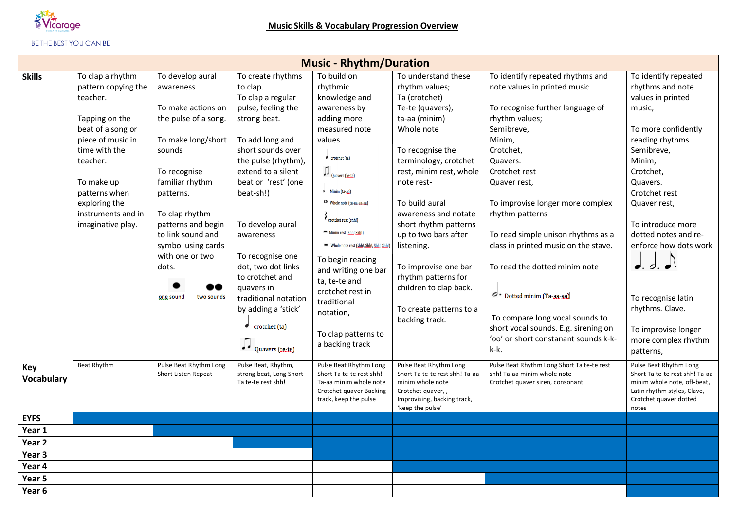

## BE THE BEST YOU CAN BE

|                          |                                                                                                                                                                                                                                         |                                                                                                                                                                                                                                                                                                       |                                                                                                                                                                                                                                                                                                                                                                                                                            | <b>Music - Rhythm/Duration</b>                                                                                                                                                                                                                                                                                                                                                                                                                                |                                                                                                                                                                                                                                                                                                                                                                                                                                |                                                                                                                                                                                                                                                                                                                                                                                                                                                                                                                                           |                                                                                                                                                                                                                                                                                                                                                                                           |
|--------------------------|-----------------------------------------------------------------------------------------------------------------------------------------------------------------------------------------------------------------------------------------|-------------------------------------------------------------------------------------------------------------------------------------------------------------------------------------------------------------------------------------------------------------------------------------------------------|----------------------------------------------------------------------------------------------------------------------------------------------------------------------------------------------------------------------------------------------------------------------------------------------------------------------------------------------------------------------------------------------------------------------------|---------------------------------------------------------------------------------------------------------------------------------------------------------------------------------------------------------------------------------------------------------------------------------------------------------------------------------------------------------------------------------------------------------------------------------------------------------------|--------------------------------------------------------------------------------------------------------------------------------------------------------------------------------------------------------------------------------------------------------------------------------------------------------------------------------------------------------------------------------------------------------------------------------|-------------------------------------------------------------------------------------------------------------------------------------------------------------------------------------------------------------------------------------------------------------------------------------------------------------------------------------------------------------------------------------------------------------------------------------------------------------------------------------------------------------------------------------------|-------------------------------------------------------------------------------------------------------------------------------------------------------------------------------------------------------------------------------------------------------------------------------------------------------------------------------------------------------------------------------------------|
| <b>Skills</b>            | To clap a rhythm<br>pattern copying the<br>teacher.<br>Tapping on the<br>beat of a song or<br>piece of music in<br>time with the<br>teacher.<br>To make up<br>patterns when<br>exploring the<br>instruments and in<br>imaginative play. | To develop aural<br>awareness<br>To make actions on<br>the pulse of a song.<br>To make long/short<br>sounds<br>To recognise<br>familiar rhythm<br>patterns.<br>To clap rhythm<br>patterns and begin<br>to link sound and<br>symbol using cards<br>with one or two<br>dots.<br>one sound<br>two sounds | To create rhythms<br>to clap.<br>To clap a regular<br>pulse, feeling the<br>strong beat.<br>To add long and<br>short sounds over<br>the pulse (rhythm),<br>extend to a silent<br>beat or 'rest' (one<br>beat-sh!)<br>To develop aural<br>awareness<br>To recognise one<br>dot, two dot links<br>to crotchet and<br>quavers in<br>traditional notation<br>by adding a 'stick'<br>crotchet (ta)<br>$\bigcup$ Quavers (te-te) | To build on<br>rhythmic<br>knowledge and<br>awareness by<br>adding more<br>measured note<br>values.<br>$\bullet$ crotchet (ta)<br>$\int$ Quavers (teste)<br>d Minim (ta-aa)<br>O Whole note (ta-aa-aa-aa)<br>crotchet rest (shh!)<br>Minim rest (shh! Shh!)<br>Whole note rest (shh!, Shh!, Shh!, Shh!)<br>To begin reading<br>and writing one bar<br>ta, te-te and<br>crotchet rest in<br>traditional<br>notation,<br>To clap patterns to<br>a backing track | To understand these<br>rhythm values;<br>Ta (crotchet)<br>Te-te (quavers),<br>ta-aa (minim)<br>Whole note<br>To recognise the<br>terminology; crotchet<br>rest, minim rest, whole<br>note rest-<br>To build aural<br>awareness and notate<br>short rhythm patterns<br>up to two bars after<br>listening.<br>To improvise one bar<br>rhythm patterns for<br>children to clap back.<br>To create patterns to a<br>backing track. | To identify repeated rhythms and<br>note values in printed music.<br>To recognise further language of<br>rhythm values;<br>Semibreve,<br>Minim,<br>Crotchet,<br>Quavers.<br>Crotchet rest<br>Quaver rest,<br>To improvise longer more complex<br>rhythm patterns<br>To read simple unison rhythms as a<br>class in printed music on the stave.<br>To read the dotted minim note<br>o - Dotted minim (Ta-aa-aa)<br>To compare long vocal sounds to<br>short vocal sounds. E.g. sirening on<br>'oo' or short constanant sounds k-k-<br>k-k. | To identify repeated<br>rhythms and note<br>values in printed<br>music,<br>To more confidently<br>reading rhythms<br>Semibreve,<br>Minim,<br>Crotchet,<br>Quavers.<br>Crotchet rest<br>Quaver rest,<br>To introduce more<br>dotted notes and re-<br>enforce how dots work<br>J. d. d.<br>To recognise latin<br>rhythms. Clave.<br>To improvise longer<br>more complex rhythm<br>patterns, |
| Key<br><b>Vocabulary</b> | Beat Rhythm                                                                                                                                                                                                                             | Pulse Beat Rhythm Long<br>Short Listen Repeat                                                                                                                                                                                                                                                         | Pulse Beat, Rhythm,<br>strong beat, Long Short<br>Ta te-te rest shh!                                                                                                                                                                                                                                                                                                                                                       | Pulse Beat Rhythm Long<br>Short Ta te-te rest shh!<br>Ta-aa minim whole note<br>Crotchet quaver Backing<br>track, keep the pulse                                                                                                                                                                                                                                                                                                                              | Pulse Beat Rhythm Long<br>Short Ta te-te rest shh! Ta-aa<br>minim whole note<br>Crotchet quaver,,<br>Improvising, backing track,<br>'keep the pulse'                                                                                                                                                                                                                                                                           | Pulse Beat Rhythm Long Short Ta te-te rest<br>shh! Ta-aa minim whole note<br>Crotchet quaver siren, consonant                                                                                                                                                                                                                                                                                                                                                                                                                             | Pulse Beat Rhythm Long<br>Short Ta te-te rest shh! Ta-aa<br>minim whole note, off-beat,<br>Latin rhythm styles, Clave,<br>Crotchet quaver dotted<br>notes                                                                                                                                                                                                                                 |
| <b>EYFS</b>              |                                                                                                                                                                                                                                         |                                                                                                                                                                                                                                                                                                       |                                                                                                                                                                                                                                                                                                                                                                                                                            |                                                                                                                                                                                                                                                                                                                                                                                                                                                               |                                                                                                                                                                                                                                                                                                                                                                                                                                |                                                                                                                                                                                                                                                                                                                                                                                                                                                                                                                                           |                                                                                                                                                                                                                                                                                                                                                                                           |
| Year 1                   |                                                                                                                                                                                                                                         |                                                                                                                                                                                                                                                                                                       |                                                                                                                                                                                                                                                                                                                                                                                                                            |                                                                                                                                                                                                                                                                                                                                                                                                                                                               |                                                                                                                                                                                                                                                                                                                                                                                                                                |                                                                                                                                                                                                                                                                                                                                                                                                                                                                                                                                           |                                                                                                                                                                                                                                                                                                                                                                                           |
| Year <sub>2</sub>        |                                                                                                                                                                                                                                         |                                                                                                                                                                                                                                                                                                       |                                                                                                                                                                                                                                                                                                                                                                                                                            |                                                                                                                                                                                                                                                                                                                                                                                                                                                               |                                                                                                                                                                                                                                                                                                                                                                                                                                |                                                                                                                                                                                                                                                                                                                                                                                                                                                                                                                                           |                                                                                                                                                                                                                                                                                                                                                                                           |
| Year <sub>3</sub>        |                                                                                                                                                                                                                                         |                                                                                                                                                                                                                                                                                                       |                                                                                                                                                                                                                                                                                                                                                                                                                            |                                                                                                                                                                                                                                                                                                                                                                                                                                                               |                                                                                                                                                                                                                                                                                                                                                                                                                                |                                                                                                                                                                                                                                                                                                                                                                                                                                                                                                                                           |                                                                                                                                                                                                                                                                                                                                                                                           |
| Year 4                   |                                                                                                                                                                                                                                         |                                                                                                                                                                                                                                                                                                       |                                                                                                                                                                                                                                                                                                                                                                                                                            |                                                                                                                                                                                                                                                                                                                                                                                                                                                               |                                                                                                                                                                                                                                                                                                                                                                                                                                |                                                                                                                                                                                                                                                                                                                                                                                                                                                                                                                                           |                                                                                                                                                                                                                                                                                                                                                                                           |
| Year 5                   |                                                                                                                                                                                                                                         |                                                                                                                                                                                                                                                                                                       |                                                                                                                                                                                                                                                                                                                                                                                                                            |                                                                                                                                                                                                                                                                                                                                                                                                                                                               |                                                                                                                                                                                                                                                                                                                                                                                                                                |                                                                                                                                                                                                                                                                                                                                                                                                                                                                                                                                           |                                                                                                                                                                                                                                                                                                                                                                                           |
| Year 6                   |                                                                                                                                                                                                                                         |                                                                                                                                                                                                                                                                                                       |                                                                                                                                                                                                                                                                                                                                                                                                                            |                                                                                                                                                                                                                                                                                                                                                                                                                                                               |                                                                                                                                                                                                                                                                                                                                                                                                                                |                                                                                                                                                                                                                                                                                                                                                                                                                                                                                                                                           |                                                                                                                                                                                                                                                                                                                                                                                           |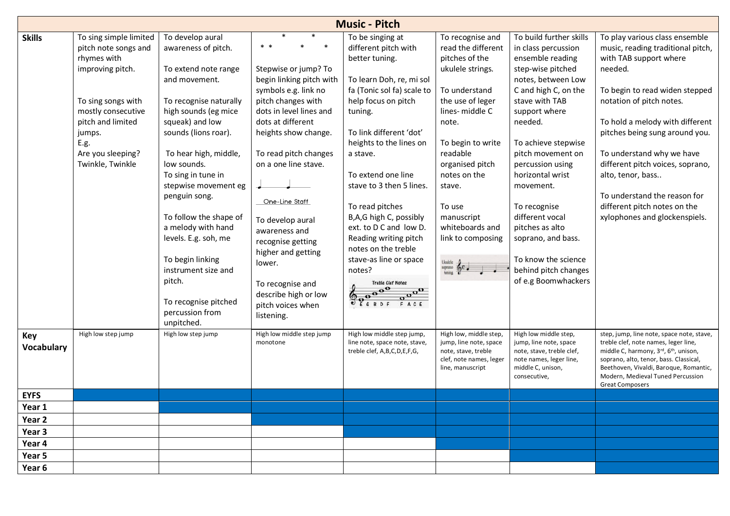|                          | <b>Music - Pitch</b>                                                                                                                                                                                          |                                                                                                                                                                                                                                                                                                                                                                                                                                                                            |                                                                                                                                                                                                                                                                                                                                                                                                                             |                                                                                                                                                                                                                                                                                                                                                                                                                                                                                                                                                    |                                                                                                                                                                                                                                                                                            |                                                                                                                                                                                                                                                                                                                                                                                                                                        |                                                                                                                                                                                                                                                                                                                                                                                                                                    |  |  |  |  |
|--------------------------|---------------------------------------------------------------------------------------------------------------------------------------------------------------------------------------------------------------|----------------------------------------------------------------------------------------------------------------------------------------------------------------------------------------------------------------------------------------------------------------------------------------------------------------------------------------------------------------------------------------------------------------------------------------------------------------------------|-----------------------------------------------------------------------------------------------------------------------------------------------------------------------------------------------------------------------------------------------------------------------------------------------------------------------------------------------------------------------------------------------------------------------------|----------------------------------------------------------------------------------------------------------------------------------------------------------------------------------------------------------------------------------------------------------------------------------------------------------------------------------------------------------------------------------------------------------------------------------------------------------------------------------------------------------------------------------------------------|--------------------------------------------------------------------------------------------------------------------------------------------------------------------------------------------------------------------------------------------------------------------------------------------|----------------------------------------------------------------------------------------------------------------------------------------------------------------------------------------------------------------------------------------------------------------------------------------------------------------------------------------------------------------------------------------------------------------------------------------|------------------------------------------------------------------------------------------------------------------------------------------------------------------------------------------------------------------------------------------------------------------------------------------------------------------------------------------------------------------------------------------------------------------------------------|--|--|--|--|
| <b>Skills</b>            | To sing simple limited<br>pitch note songs and<br>rhymes with<br>improving pitch.<br>To sing songs with<br>mostly consecutive<br>pitch and limited<br>jumps.<br>E.g.<br>Are you sleeping?<br>Twinkle, Twinkle | To develop aural<br>awareness of pitch.<br>To extend note range<br>and movement.<br>To recognise naturally<br>high sounds (eg mice<br>squeak) and low<br>sounds (lions roar).<br>To hear high, middle,<br>low sounds.<br>To sing in tune in<br>stepwise movement eg<br>penguin song.<br>To follow the shape of<br>a melody with hand<br>levels. E.g. soh, me<br>To begin linking<br>instrument size and<br>pitch.<br>To recognise pitched<br>percussion from<br>unpitched. | $* *$<br>Stepwise or jump? To<br>begin linking pitch with<br>symbols e.g. link no<br>pitch changes with<br>dots in level lines and<br>dots at different<br>heights show change.<br>To read pitch changes<br>on a one line stave.<br>One-Line Staff<br>To develop aural<br>awareness and<br>recognise getting<br>higher and getting<br>lower.<br>To recognise and<br>describe high or low<br>pitch voices when<br>listening. | To be singing at<br>different pitch with<br>better tuning.<br>To learn Doh, re, mi sol<br>fa (Tonic sol fa) scale to<br>help focus on pitch<br>tuning.<br>To link different 'dot'<br>heights to the lines on<br>a stave.<br>To extend one line<br>stave to 3 then 5 lines.<br>To read pitches<br>B,A,G high C, possibly<br>ext. to D C and low D.<br>Reading writing pitch<br>notes on the treble<br>stave-as line or space<br>notes?<br>Treble Clef Notes<br>$\overline{\overset{\mathbf{0}}{\circ}}\overset{\mathbf{0}}{\circ}$<br>EGBDF<br>FACE | To recognise and<br>read the different<br>pitches of the<br>ukulele strings.<br>To understand<br>the use of leger<br>lines-middle C<br>note.<br>To begin to write<br>readable<br>organised pitch<br>notes on the<br>stave.<br>To use<br>manuscript<br>whiteboards and<br>link to composing | To build further skills<br>in class percussion<br>ensemble reading<br>step-wise pitched<br>notes, between Low<br>C and high C, on the<br>stave with TAB<br>support where<br>needed.<br>To achieve stepwise<br>pitch movement on<br>percussion using<br>horizontal wrist<br>movement.<br>To recognise<br>different vocal<br>pitches as alto<br>soprano, and bass.<br>To know the science<br>behind pitch changes<br>of e.g Boomwhackers | To play various class ensemble<br>music, reading traditional pitch,<br>with TAB support where<br>needed.<br>To begin to read widen stepped<br>notation of pitch notes.<br>To hold a melody with different<br>pitches being sung around you.<br>To understand why we have<br>different pitch voices, soprano,<br>alto, tenor, bass<br>To understand the reason for<br>different pitch notes on the<br>xylophones and glockenspiels. |  |  |  |  |
| Key<br><b>Vocabulary</b> | High low step jump                                                                                                                                                                                            | High low step jump                                                                                                                                                                                                                                                                                                                                                                                                                                                         | High low middle step jump<br>monotone                                                                                                                                                                                                                                                                                                                                                                                       | High low middle step jump,<br>line note, space note, stave,<br>treble clef, A,B,C,D,E,F,G,                                                                                                                                                                                                                                                                                                                                                                                                                                                         | High low, middle step,<br>jump, line note, space<br>note, stave, treble<br>clef, note names, leger<br>line, manuscript                                                                                                                                                                     | High low middle step,<br>jump, line note, space<br>note, stave, treble clef,<br>note names, leger line,<br>middle C, unison,<br>consecutive,                                                                                                                                                                                                                                                                                           | step, jump, line note, space note, stave,<br>treble clef, note names, leger line,<br>middle C, harmony, 3rd, 6 <sup>th</sup> , unison,<br>soprano, alto, tenor, bass. Classical,<br>Beethoven, Vivaldi, Baroque, Romantic,<br>Modern, Medieval Tuned Percussion<br><b>Great Composers</b>                                                                                                                                          |  |  |  |  |
| <b>EYFS</b>              |                                                                                                                                                                                                               |                                                                                                                                                                                                                                                                                                                                                                                                                                                                            |                                                                                                                                                                                                                                                                                                                                                                                                                             |                                                                                                                                                                                                                                                                                                                                                                                                                                                                                                                                                    |                                                                                                                                                                                                                                                                                            |                                                                                                                                                                                                                                                                                                                                                                                                                                        |                                                                                                                                                                                                                                                                                                                                                                                                                                    |  |  |  |  |
| Year 1                   |                                                                                                                                                                                                               |                                                                                                                                                                                                                                                                                                                                                                                                                                                                            |                                                                                                                                                                                                                                                                                                                                                                                                                             |                                                                                                                                                                                                                                                                                                                                                                                                                                                                                                                                                    |                                                                                                                                                                                                                                                                                            |                                                                                                                                                                                                                                                                                                                                                                                                                                        |                                                                                                                                                                                                                                                                                                                                                                                                                                    |  |  |  |  |
| Year 2                   |                                                                                                                                                                                                               |                                                                                                                                                                                                                                                                                                                                                                                                                                                                            |                                                                                                                                                                                                                                                                                                                                                                                                                             |                                                                                                                                                                                                                                                                                                                                                                                                                                                                                                                                                    |                                                                                                                                                                                                                                                                                            |                                                                                                                                                                                                                                                                                                                                                                                                                                        |                                                                                                                                                                                                                                                                                                                                                                                                                                    |  |  |  |  |
| Year 3                   |                                                                                                                                                                                                               |                                                                                                                                                                                                                                                                                                                                                                                                                                                                            |                                                                                                                                                                                                                                                                                                                                                                                                                             |                                                                                                                                                                                                                                                                                                                                                                                                                                                                                                                                                    |                                                                                                                                                                                                                                                                                            |                                                                                                                                                                                                                                                                                                                                                                                                                                        |                                                                                                                                                                                                                                                                                                                                                                                                                                    |  |  |  |  |
| Year 4                   |                                                                                                                                                                                                               |                                                                                                                                                                                                                                                                                                                                                                                                                                                                            |                                                                                                                                                                                                                                                                                                                                                                                                                             |                                                                                                                                                                                                                                                                                                                                                                                                                                                                                                                                                    |                                                                                                                                                                                                                                                                                            |                                                                                                                                                                                                                                                                                                                                                                                                                                        |                                                                                                                                                                                                                                                                                                                                                                                                                                    |  |  |  |  |
| Year 5                   |                                                                                                                                                                                                               |                                                                                                                                                                                                                                                                                                                                                                                                                                                                            |                                                                                                                                                                                                                                                                                                                                                                                                                             |                                                                                                                                                                                                                                                                                                                                                                                                                                                                                                                                                    |                                                                                                                                                                                                                                                                                            |                                                                                                                                                                                                                                                                                                                                                                                                                                        |                                                                                                                                                                                                                                                                                                                                                                                                                                    |  |  |  |  |
| Year 6                   |                                                                                                                                                                                                               |                                                                                                                                                                                                                                                                                                                                                                                                                                                                            |                                                                                                                                                                                                                                                                                                                                                                                                                             |                                                                                                                                                                                                                                                                                                                                                                                                                                                                                                                                                    |                                                                                                                                                                                                                                                                                            |                                                                                                                                                                                                                                                                                                                                                                                                                                        |                                                                                                                                                                                                                                                                                                                                                                                                                                    |  |  |  |  |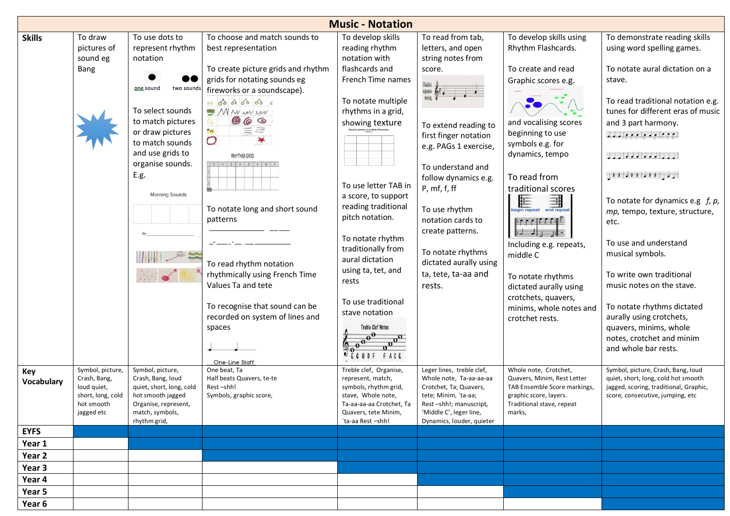|                   |                                                                                                  |                                                                                                                                                                                                                                    |                                                                                                                                                                                                                                                                                                                                                                                                                                                                                                              | <b>Music - Notation</b>                                                                                                                                                                                                                                                                                                                                                                                      |                                                                                                                                                                                                                                                                                                                                                                         |                                                                                                                                                                                                                                                                                                                                                                                                                                                            |                                                                                                                                                                                                                                                                                                                                                                                                                                                                                                                                                                                                                                                                                                                                       |
|-------------------|--------------------------------------------------------------------------------------------------|------------------------------------------------------------------------------------------------------------------------------------------------------------------------------------------------------------------------------------|--------------------------------------------------------------------------------------------------------------------------------------------------------------------------------------------------------------------------------------------------------------------------------------------------------------------------------------------------------------------------------------------------------------------------------------------------------------------------------------------------------------|--------------------------------------------------------------------------------------------------------------------------------------------------------------------------------------------------------------------------------------------------------------------------------------------------------------------------------------------------------------------------------------------------------------|-------------------------------------------------------------------------------------------------------------------------------------------------------------------------------------------------------------------------------------------------------------------------------------------------------------------------------------------------------------------------|------------------------------------------------------------------------------------------------------------------------------------------------------------------------------------------------------------------------------------------------------------------------------------------------------------------------------------------------------------------------------------------------------------------------------------------------------------|---------------------------------------------------------------------------------------------------------------------------------------------------------------------------------------------------------------------------------------------------------------------------------------------------------------------------------------------------------------------------------------------------------------------------------------------------------------------------------------------------------------------------------------------------------------------------------------------------------------------------------------------------------------------------------------------------------------------------------------|
| <b>Skills</b>     | To draw<br>pictures of<br>sound eg<br>Bang                                                       | To use dots to<br>represent rhythm<br>notation<br>one sound<br>two sounds<br>To select sounds<br>to match pictures<br>or draw pictures<br>to match sounds<br>and use grids to<br>organise sounds.<br>E.g.<br><b>Morning Sounds</b> | To choose and match sounds to<br>best representation<br>To create picture grids and rhythm<br>grids for notating sounds eg<br>fireworks or a soundscape).<br>as do do do do c<br>$\mathcal{M}$ N w $\mathcal{M}$ N $\mathcal{M}$<br>669<br>O<br>O<br><b>RHYTHM GRID</b><br>$1 + 2 + 3 + 4 +$<br>To notate long and short sound<br>patterns<br>To read rhythm notation<br>rhythmically using French Time<br>Values Ta and tete<br>To recognise that sound can be<br>recorded on system of lines and<br>spaces | To develop skills<br>reading rhythm<br>notation with<br>flashcards and<br>French Time names<br>To notate multiple<br>rhythms in a grid,<br>showing texture<br>To use letter TAB in<br>a score, to support<br>reading traditional<br>pitch notation.<br>To notate rhythm<br>traditionally from<br>aural dictation<br>using ta, tet, and<br>rests<br>To use traditional<br>stave notation<br>Treble Clef Notes | To read from tab,<br>letters, and open<br>string notes from<br>score.<br>soprano to C.<br>To extend reading to<br>first finger notation<br>e.g. PAGs 1 exercise,<br>To understand and<br>follow dynamics e.g.<br>P, mf, f, ff<br>To use rhythm<br>notation cards to<br>create patterns.<br>To notate rhythms<br>dictated aurally using<br>ta, tete, ta-aa and<br>rests. | To develop skills using<br>Rhythm Flashcards.<br>To create and read<br>Graphic scores e.g.<br>and vocalising scores<br>beginning to use<br>symbols e.g. for<br>dynamics, tempo<br>To read from<br>traditional scores<br>⊫<br>$\frac{\frac{1}{2}}{\frac{1}{2}}$<br>gin repeat<br>أتتوا فالمواجهة<br>Including e.g. repeats,<br>middle C<br>To notate rhythms<br>dictated aurally using<br>crotchets, quavers,<br>minims, whole notes and<br>crotchet rests. | To demonstrate reading skills<br>using word spelling games.<br>To notate aural dictation on a<br>stave.<br>To read traditional notation e.g.<br>tunes for different eras of music<br>and 3 part harmony.<br>dad e e elegelecel<br>$\frac{1}{2}$ , $\frac{1}{2}$ , $\frac{1}{2}$ , $\frac{1}{2}$ , $\frac{1}{2}$ , $\frac{1}{2}$ , $\frac{1}{2}$<br>$\pm 1$ $\pm 1$ $\pm 1$ $\pm 1$ $\pm 1$ $\pm 1$<br>To notate for dynamics e.g $f$ , $p$ ,<br>mp, tempo, texture, structure,<br>etc.<br>To use and understand<br>musical symbols.<br>To write own traditional<br>music notes on the stave.<br>To notate rhythms dictated<br>aurally using crotchets,<br>quavers, minims, whole<br>notes, crotchet and minim<br>and whole bar rests. |
| Key<br>Vocabulary | Symbol, picture,<br>Crash, Bang,<br>loud quiet,<br>short, long, cold<br>hot smooth<br>jagged etc | Symbol, picture,<br>Crash, Bang, loud<br>quiet, short, long, cold<br>hot smooth jagged<br>Organise, represent,<br>match, symbols,<br>rhythm grid,                                                                                  | One-Line Staff<br>One beat, Ta<br>Half beats Quavers, te-te<br>Rest-shh!<br>Symbols, graphic score,                                                                                                                                                                                                                                                                                                                                                                                                          | Treble clef, Organise,<br>represent, match,<br>symbols, rhythm grid,<br>stave, Whole note,<br>Ta-aa-aa-aa Crotchet, Ta<br>Quavers, tete Minim,<br>`ta-aa Rest -shh!                                                                                                                                                                                                                                          | Leger lines, treble clef,<br>Whole note, Ta-aa-aa-aa<br>Crotchet, Ta; Quavers,<br>tete; Minim, 'ta-aa;<br>Rest-shh!; manuscript,<br>'Middle C', leger line,<br>Dynamics, louder, quieter                                                                                                                                                                                | Whole note, Crotchet,<br>Quavers, Minim, Rest Letter<br>TAB Ensemble Score markings,<br>graphic score, layers.<br>Traditional stave, repeat<br>marks,                                                                                                                                                                                                                                                                                                      | Symbol, picture, Crash, Bang, loud<br>quiet, short, long, cold hot smooth<br>jagged, scoring, traditional, Graphic,<br>score, consecutive, jumping, etc                                                                                                                                                                                                                                                                                                                                                                                                                                                                                                                                                                               |
| <b>EYFS</b>       |                                                                                                  |                                                                                                                                                                                                                                    |                                                                                                                                                                                                                                                                                                                                                                                                                                                                                                              |                                                                                                                                                                                                                                                                                                                                                                                                              |                                                                                                                                                                                                                                                                                                                                                                         |                                                                                                                                                                                                                                                                                                                                                                                                                                                            |                                                                                                                                                                                                                                                                                                                                                                                                                                                                                                                                                                                                                                                                                                                                       |
| Year 1            |                                                                                                  |                                                                                                                                                                                                                                    |                                                                                                                                                                                                                                                                                                                                                                                                                                                                                                              |                                                                                                                                                                                                                                                                                                                                                                                                              |                                                                                                                                                                                                                                                                                                                                                                         |                                                                                                                                                                                                                                                                                                                                                                                                                                                            |                                                                                                                                                                                                                                                                                                                                                                                                                                                                                                                                                                                                                                                                                                                                       |
| Year 2            |                                                                                                  |                                                                                                                                                                                                                                    |                                                                                                                                                                                                                                                                                                                                                                                                                                                                                                              |                                                                                                                                                                                                                                                                                                                                                                                                              |                                                                                                                                                                                                                                                                                                                                                                         |                                                                                                                                                                                                                                                                                                                                                                                                                                                            |                                                                                                                                                                                                                                                                                                                                                                                                                                                                                                                                                                                                                                                                                                                                       |
| Year 3            |                                                                                                  |                                                                                                                                                                                                                                    |                                                                                                                                                                                                                                                                                                                                                                                                                                                                                                              |                                                                                                                                                                                                                                                                                                                                                                                                              |                                                                                                                                                                                                                                                                                                                                                                         |                                                                                                                                                                                                                                                                                                                                                                                                                                                            |                                                                                                                                                                                                                                                                                                                                                                                                                                                                                                                                                                                                                                                                                                                                       |
| Year 4            |                                                                                                  |                                                                                                                                                                                                                                    |                                                                                                                                                                                                                                                                                                                                                                                                                                                                                                              |                                                                                                                                                                                                                                                                                                                                                                                                              |                                                                                                                                                                                                                                                                                                                                                                         |                                                                                                                                                                                                                                                                                                                                                                                                                                                            |                                                                                                                                                                                                                                                                                                                                                                                                                                                                                                                                                                                                                                                                                                                                       |
| Year 5            |                                                                                                  |                                                                                                                                                                                                                                    |                                                                                                                                                                                                                                                                                                                                                                                                                                                                                                              |                                                                                                                                                                                                                                                                                                                                                                                                              |                                                                                                                                                                                                                                                                                                                                                                         |                                                                                                                                                                                                                                                                                                                                                                                                                                                            |                                                                                                                                                                                                                                                                                                                                                                                                                                                                                                                                                                                                                                                                                                                                       |
| Year 6            |                                                                                                  |                                                                                                                                                                                                                                    |                                                                                                                                                                                                                                                                                                                                                                                                                                                                                                              |                                                                                                                                                                                                                                                                                                                                                                                                              |                                                                                                                                                                                                                                                                                                                                                                         |                                                                                                                                                                                                                                                                                                                                                                                                                                                            |                                                                                                                                                                                                                                                                                                                                                                                                                                                                                                                                                                                                                                                                                                                                       |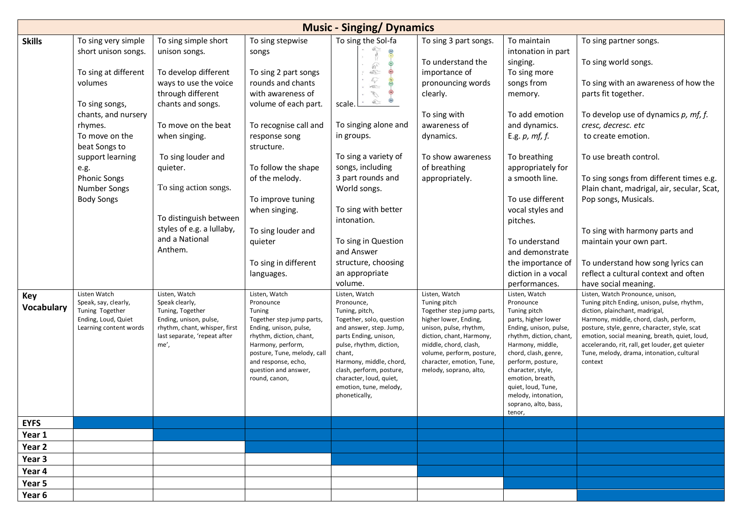|                                 |                                                                                                                                                                                                                                                                                                  |                                                                                                                                                                                                                                                                                                                                                        |                                                                                                                                                                                                                                                                                                                                                       | <b>Music - Singing/ Dynamics</b>                                                                                                                                                                                                                                                                                                                                                                                                                                                                                                                                                                                                                                                                                                                                                              |                                                                                                                                                                                                                                       |                                                                                                                                                                                                                                                                                                                                                                                                |                                                                                                                                                                                                                                                                                                                                                                                                                                                                                                                                                                                                                     |
|---------------------------------|--------------------------------------------------------------------------------------------------------------------------------------------------------------------------------------------------------------------------------------------------------------------------------------------------|--------------------------------------------------------------------------------------------------------------------------------------------------------------------------------------------------------------------------------------------------------------------------------------------------------------------------------------------------------|-------------------------------------------------------------------------------------------------------------------------------------------------------------------------------------------------------------------------------------------------------------------------------------------------------------------------------------------------------|-----------------------------------------------------------------------------------------------------------------------------------------------------------------------------------------------------------------------------------------------------------------------------------------------------------------------------------------------------------------------------------------------------------------------------------------------------------------------------------------------------------------------------------------------------------------------------------------------------------------------------------------------------------------------------------------------------------------------------------------------------------------------------------------------|---------------------------------------------------------------------------------------------------------------------------------------------------------------------------------------------------------------------------------------|------------------------------------------------------------------------------------------------------------------------------------------------------------------------------------------------------------------------------------------------------------------------------------------------------------------------------------------------------------------------------------------------|---------------------------------------------------------------------------------------------------------------------------------------------------------------------------------------------------------------------------------------------------------------------------------------------------------------------------------------------------------------------------------------------------------------------------------------------------------------------------------------------------------------------------------------------------------------------------------------------------------------------|
| <b>Skills</b>                   | To sing very simple                                                                                                                                                                                                                                                                              | To sing simple short                                                                                                                                                                                                                                                                                                                                   | To sing stepwise                                                                                                                                                                                                                                                                                                                                      | To sing the Sol-fa                                                                                                                                                                                                                                                                                                                                                                                                                                                                                                                                                                                                                                                                                                                                                                            | To sing 3 part songs.                                                                                                                                                                                                                 | To maintain                                                                                                                                                                                                                                                                                                                                                                                    | To sing partner songs.                                                                                                                                                                                                                                                                                                                                                                                                                                                                                                                                                                                              |
| <b>Key</b><br><b>Vocabulary</b> | short unison songs.<br>To sing at different<br>volumes<br>To sing songs,<br>chants, and nursery<br>rhymes.<br>To move on the<br>beat Songs to<br>support learning<br>e.g.<br><b>Phonic Songs</b><br>Number Songs<br><b>Body Songs</b><br>Listen Watch<br>Speak, say, clearly,<br>Tuning Together | unison songs.<br>To develop different<br>ways to use the voice<br>through different<br>chants and songs.<br>To move on the beat<br>when singing.<br>To sing louder and<br>quieter.<br>To sing action songs.<br>To distinguish between<br>styles of e.g. a lullaby,<br>and a National<br>Anthem.<br>Listen, Watch<br>Speak clearly,<br>Tuning, Together | songs<br>To sing 2 part songs<br>rounds and chants<br>with awareness of<br>volume of each part.<br>To recognise call and<br>response song<br>structure.<br>To follow the shape<br>of the melody.<br>To improve tuning<br>when singing.<br>To sing louder and<br>quieter<br>To sing in different<br>languages.<br>Listen, Watch<br>Pronounce<br>Tuning | <b>COLLES</b><br>$\oplus$<br>$\begin{picture}(20,5) \put(0,0){\line(1,0){155}} \put(15,0){\line(1,0){155}} \put(15,0){\line(1,0){155}} \put(15,0){\line(1,0){155}} \put(15,0){\line(1,0){155}} \put(15,0){\line(1,0){155}} \put(15,0){\line(1,0){155}} \put(15,0){\line(1,0){155}} \put(15,0){\line(1,0){155}} \put(15,0){\line(1,0){155}} \put(15,0){\line(1,0){155}} \put$<br>$\circledcirc$<br>$\xi_{\widetilde{V}}$<br>$\approx$<br>V<br>$\qquad \qquad \textcircled{4}$<br>scale.<br>To singing alone and<br>in groups.<br>To sing a variety of<br>songs, including<br>3 part rounds and<br>World songs.<br>To sing with better<br>intonation.<br>To sing in Question<br>and Answer<br>structure, choosing<br>an appropriate<br>volume.<br>Listen, Watch<br>Pronounce,<br>Tuning, pitch, | To understand the<br>importance of<br>pronouncing words<br>clearly.<br>To sing with<br>awareness of<br>dynamics.<br>To show awareness<br>of breathing<br>appropriately.<br>Listen, Watch<br>Tuning pitch<br>Together step jump parts, | intonation in part<br>singing.<br>To sing more<br>songs from<br>memory.<br>To add emotion<br>and dynamics.<br>E.g. $p$ , $mf$ , $f$ .<br>To breathing<br>appropriately for<br>a smooth line.<br>To use different<br>vocal styles and<br>pitches.<br>To understand<br>and demonstrate<br>the importance of<br>diction in a vocal<br>performances.<br>Listen, Watch<br>Pronounce<br>Tuning pitch | To sing world songs.<br>To sing with an awareness of how the<br>parts fit together.<br>To develop use of dynamics $p$ , $mf$ , $f$ .<br>cresc, decresc. etc<br>to create emotion.<br>To use breath control.<br>To sing songs from different times e.g.<br>Plain chant, madrigal, air, secular, Scat,<br>Pop songs, Musicals.<br>To sing with harmony parts and<br>maintain your own part.<br>To understand how song lyrics can<br>reflect a cultural context and often<br>have social meaning.<br>Listen, Watch Pronounce, unison,<br>Tuning pitch Ending, unison, pulse, rhythm,<br>diction, plainchant, madrigal, |
|                                 | Ending, Loud, Quiet<br>Learning content words                                                                                                                                                                                                                                                    | Ending, unison, pulse,<br>rhythm, chant, whisper, first<br>last separate, 'repeat after<br>me',                                                                                                                                                                                                                                                        | Together step jump parts,<br>Ending, unison, pulse,<br>rhythm, diction, chant,<br>Harmony, perform,<br>posture, Tune, melody, call<br>and response, echo,<br>question and answer,<br>round, canon,                                                                                                                                                    | Together, solo, question<br>and answer, step. Jump,<br>parts Ending, unison,<br>pulse, rhythm, diction,<br>chant,<br>Harmony, middle, chord,<br>clash, perform, posture,<br>character, loud, quiet,<br>emotion, tune, melody,<br>phonetically,                                                                                                                                                                                                                                                                                                                                                                                                                                                                                                                                                | higher lower, Ending,<br>unison, pulse, rhythm,<br>diction, chant, Harmony,<br>middle, chord, clash,<br>volume, perform, posture,<br>character, emotion, Tune,<br>melody, soprano, alto,                                              | parts, higher lower<br>Ending, unison, pulse,<br>rhythm, diction, chant,<br>Harmony, middle,<br>chord, clash, genre,<br>perform, posture,<br>character, style,<br>emotion, breath,<br>quiet, loud, Tune,<br>melody, intonation,<br>soprano, alto, bass,<br>tenor,                                                                                                                              | Harmony, middle, chord, clash, perform,<br>posture, style, genre, character, style, scat<br>emotion, social meaning, breath, quiet, loud,<br>accelerando, rit, rall, get louder, get quieter<br>Tune, melody, drama, intonation, cultural<br>context                                                                                                                                                                                                                                                                                                                                                                |
| <b>EYFS</b>                     |                                                                                                                                                                                                                                                                                                  |                                                                                                                                                                                                                                                                                                                                                        |                                                                                                                                                                                                                                                                                                                                                       |                                                                                                                                                                                                                                                                                                                                                                                                                                                                                                                                                                                                                                                                                                                                                                                               |                                                                                                                                                                                                                                       |                                                                                                                                                                                                                                                                                                                                                                                                |                                                                                                                                                                                                                                                                                                                                                                                                                                                                                                                                                                                                                     |
| Year 1                          |                                                                                                                                                                                                                                                                                                  |                                                                                                                                                                                                                                                                                                                                                        |                                                                                                                                                                                                                                                                                                                                                       |                                                                                                                                                                                                                                                                                                                                                                                                                                                                                                                                                                                                                                                                                                                                                                                               |                                                                                                                                                                                                                                       |                                                                                                                                                                                                                                                                                                                                                                                                |                                                                                                                                                                                                                                                                                                                                                                                                                                                                                                                                                                                                                     |
| Year 2                          |                                                                                                                                                                                                                                                                                                  |                                                                                                                                                                                                                                                                                                                                                        |                                                                                                                                                                                                                                                                                                                                                       |                                                                                                                                                                                                                                                                                                                                                                                                                                                                                                                                                                                                                                                                                                                                                                                               |                                                                                                                                                                                                                                       |                                                                                                                                                                                                                                                                                                                                                                                                |                                                                                                                                                                                                                                                                                                                                                                                                                                                                                                                                                                                                                     |
| Year 3                          |                                                                                                                                                                                                                                                                                                  |                                                                                                                                                                                                                                                                                                                                                        |                                                                                                                                                                                                                                                                                                                                                       |                                                                                                                                                                                                                                                                                                                                                                                                                                                                                                                                                                                                                                                                                                                                                                                               |                                                                                                                                                                                                                                       |                                                                                                                                                                                                                                                                                                                                                                                                |                                                                                                                                                                                                                                                                                                                                                                                                                                                                                                                                                                                                                     |
| Year 4                          |                                                                                                                                                                                                                                                                                                  |                                                                                                                                                                                                                                                                                                                                                        |                                                                                                                                                                                                                                                                                                                                                       |                                                                                                                                                                                                                                                                                                                                                                                                                                                                                                                                                                                                                                                                                                                                                                                               |                                                                                                                                                                                                                                       |                                                                                                                                                                                                                                                                                                                                                                                                |                                                                                                                                                                                                                                                                                                                                                                                                                                                                                                                                                                                                                     |
| Year 5                          |                                                                                                                                                                                                                                                                                                  |                                                                                                                                                                                                                                                                                                                                                        |                                                                                                                                                                                                                                                                                                                                                       |                                                                                                                                                                                                                                                                                                                                                                                                                                                                                                                                                                                                                                                                                                                                                                                               |                                                                                                                                                                                                                                       |                                                                                                                                                                                                                                                                                                                                                                                                |                                                                                                                                                                                                                                                                                                                                                                                                                                                                                                                                                                                                                     |
| Year 6                          |                                                                                                                                                                                                                                                                                                  |                                                                                                                                                                                                                                                                                                                                                        |                                                                                                                                                                                                                                                                                                                                                       |                                                                                                                                                                                                                                                                                                                                                                                                                                                                                                                                                                                                                                                                                                                                                                                               |                                                                                                                                                                                                                                       |                                                                                                                                                                                                                                                                                                                                                                                                |                                                                                                                                                                                                                                                                                                                                                                                                                                                                                                                                                                                                                     |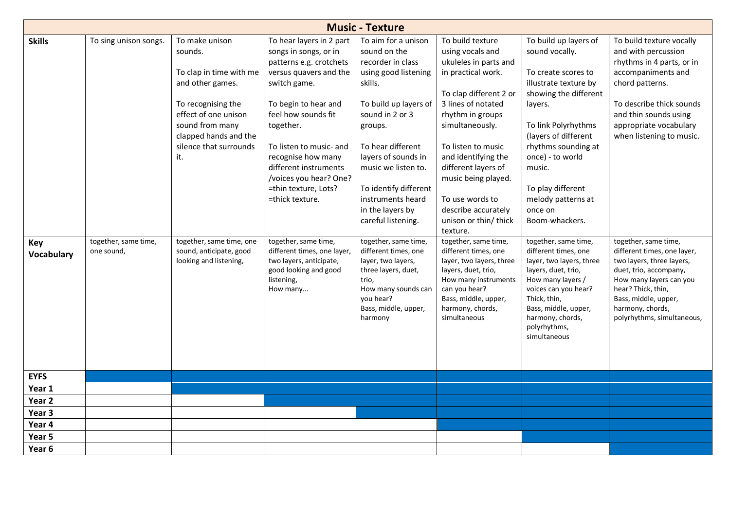|                   | <b>Music - Texture</b>                        |                                                                                                                                                                                                                                 |                                                                                                                                                                                                                                                                                                                                                           |                                                                                                                                                                                                                                                                                                                                       |                                                                                                                                                                                                                                                                                                                                                                              |                                                                                                                                                                                                                                                                                                                                 |                                                                                                                                                                                                                                                          |  |  |  |  |  |
|-------------------|-----------------------------------------------|---------------------------------------------------------------------------------------------------------------------------------------------------------------------------------------------------------------------------------|-----------------------------------------------------------------------------------------------------------------------------------------------------------------------------------------------------------------------------------------------------------------------------------------------------------------------------------------------------------|---------------------------------------------------------------------------------------------------------------------------------------------------------------------------------------------------------------------------------------------------------------------------------------------------------------------------------------|------------------------------------------------------------------------------------------------------------------------------------------------------------------------------------------------------------------------------------------------------------------------------------------------------------------------------------------------------------------------------|---------------------------------------------------------------------------------------------------------------------------------------------------------------------------------------------------------------------------------------------------------------------------------------------------------------------------------|----------------------------------------------------------------------------------------------------------------------------------------------------------------------------------------------------------------------------------------------------------|--|--|--|--|--|
| <b>Skills</b>     | To sing unison songs.<br>together, same time, | To make unison<br>sounds.<br>To clap in time with me<br>and other games.<br>To recognising the<br>effect of one unison<br>sound from many<br>clapped hands and the<br>silence that surrounds<br>it.<br>together, same time, one | To hear layers in 2 part<br>songs in songs, or in<br>patterns e.g. crotchets<br>versus quavers and the<br>switch game.<br>To begin to hear and<br>feel how sounds fit<br>together.<br>To listen to music- and<br>recognise how many<br>different instruments<br>/voices you hear? One?<br>=thin texture, Lots?<br>=thick texture.<br>together, same time, | To aim for a unison<br>sound on the<br>recorder in class<br>using good listening<br>skills.<br>To build up layers of<br>sound in 2 or 3<br>groups.<br>To hear different<br>layers of sounds in<br>music we listen to.<br>To identify different<br>instruments heard<br>in the layers by<br>careful listening.<br>together, same time, | To build texture<br>using vocals and<br>ukuleles in parts and<br>in practical work.<br>To clap different 2 or<br>3 lines of notated<br>rhythm in groups<br>simultaneously.<br>To listen to music<br>and identifying the<br>different layers of<br>music being played.<br>To use words to<br>describe accurately<br>unison or thin/ thick<br>texture.<br>together, same time, | To build up layers of<br>sound vocally.<br>To create scores to<br>illustrate texture by<br>showing the different<br>layers.<br>To link Polyrhythms<br>(layers of different<br>rhythms sounding at<br>once) - to world<br>music.<br>To play different<br>melody patterns at<br>once on<br>Boom-whackers.<br>together, same time, | To build texture vocally<br>and with percussion<br>rhythms in 4 parts, or in<br>accompaniments and<br>chord patterns.<br>To describe thick sounds<br>and thin sounds using<br>appropriate vocabulary<br>when listening to music.<br>together, same time, |  |  |  |  |  |
| Key<br>Vocabulary | one sound,                                    | sound, anticipate, good<br>looking and listening,                                                                                                                                                                               | different times, one layer,<br>two layers, anticipate,<br>good looking and good<br>listening,<br>How many                                                                                                                                                                                                                                                 | different times, one<br>layer, two layers,<br>three layers, duet,<br>trio,<br>How many sounds can<br>you hear?<br>Bass, middle, upper,<br>harmony                                                                                                                                                                                     | different times, one<br>layer, two layers, three<br>layers, duet, trio,<br>How many instruments<br>can you hear?<br>Bass, middle, upper,<br>harmony, chords,<br>simultaneous                                                                                                                                                                                                 | different times, one<br>layer, two layers, three<br>layers, duet, trio,<br>How many layers /<br>voices can you hear?<br>Thick, thin,<br>Bass, middle, upper,<br>harmony, chords,<br>polyrhythms,<br>simultaneous                                                                                                                | different times, one layer,<br>two layers, three layers,<br>duet, trio, accompany,<br>How many layers can you<br>hear? Thick, thin,<br>Bass, middle, upper,<br>harmony, chords,<br>polyrhythms, simultaneous,                                            |  |  |  |  |  |
| <b>EYFS</b>       |                                               |                                                                                                                                                                                                                                 |                                                                                                                                                                                                                                                                                                                                                           |                                                                                                                                                                                                                                                                                                                                       |                                                                                                                                                                                                                                                                                                                                                                              |                                                                                                                                                                                                                                                                                                                                 |                                                                                                                                                                                                                                                          |  |  |  |  |  |
| Year 1            |                                               |                                                                                                                                                                                                                                 |                                                                                                                                                                                                                                                                                                                                                           |                                                                                                                                                                                                                                                                                                                                       |                                                                                                                                                                                                                                                                                                                                                                              |                                                                                                                                                                                                                                                                                                                                 |                                                                                                                                                                                                                                                          |  |  |  |  |  |
| Year <sub>2</sub> |                                               |                                                                                                                                                                                                                                 |                                                                                                                                                                                                                                                                                                                                                           |                                                                                                                                                                                                                                                                                                                                       |                                                                                                                                                                                                                                                                                                                                                                              |                                                                                                                                                                                                                                                                                                                                 |                                                                                                                                                                                                                                                          |  |  |  |  |  |
| Year 3            |                                               |                                                                                                                                                                                                                                 |                                                                                                                                                                                                                                                                                                                                                           |                                                                                                                                                                                                                                                                                                                                       |                                                                                                                                                                                                                                                                                                                                                                              |                                                                                                                                                                                                                                                                                                                                 |                                                                                                                                                                                                                                                          |  |  |  |  |  |
| Year 4            |                                               |                                                                                                                                                                                                                                 |                                                                                                                                                                                                                                                                                                                                                           |                                                                                                                                                                                                                                                                                                                                       |                                                                                                                                                                                                                                                                                                                                                                              |                                                                                                                                                                                                                                                                                                                                 |                                                                                                                                                                                                                                                          |  |  |  |  |  |
| Year 5            |                                               |                                                                                                                                                                                                                                 |                                                                                                                                                                                                                                                                                                                                                           |                                                                                                                                                                                                                                                                                                                                       |                                                                                                                                                                                                                                                                                                                                                                              |                                                                                                                                                                                                                                                                                                                                 |                                                                                                                                                                                                                                                          |  |  |  |  |  |
| Year 6            |                                               |                                                                                                                                                                                                                                 |                                                                                                                                                                                                                                                                                                                                                           |                                                                                                                                                                                                                                                                                                                                       |                                                                                                                                                                                                                                                                                                                                                                              |                                                                                                                                                                                                                                                                                                                                 |                                                                                                                                                                                                                                                          |  |  |  |  |  |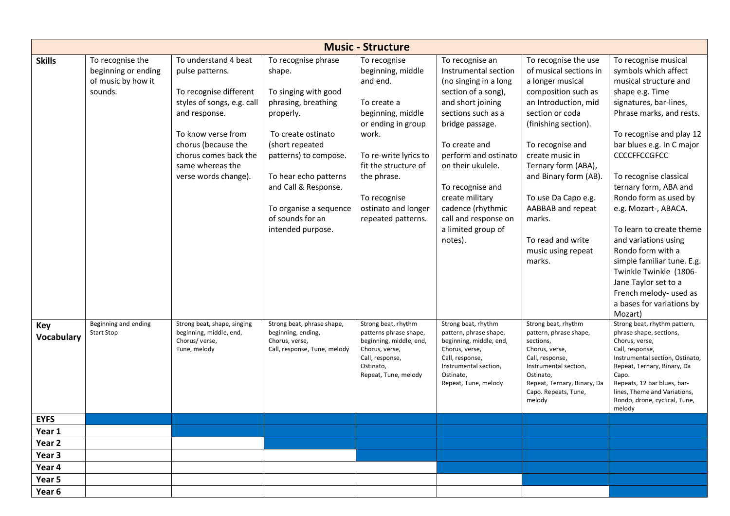|                                 | <b>Music - Structure</b>                                                 |                                                                                                                                                                                                                                    |                                                                                                                                                                                                                                                                                 |                                                                                                                                                                                                                                               |                                                                                                                                                                                                                                                                                                                                          |                                                                                                                                                                                                                                                                                                                                                                |                                                                                                                                                                                                                                                                                                                                                                                                                                                                                                                                                               |  |  |  |  |  |
|---------------------------------|--------------------------------------------------------------------------|------------------------------------------------------------------------------------------------------------------------------------------------------------------------------------------------------------------------------------|---------------------------------------------------------------------------------------------------------------------------------------------------------------------------------------------------------------------------------------------------------------------------------|-----------------------------------------------------------------------------------------------------------------------------------------------------------------------------------------------------------------------------------------------|------------------------------------------------------------------------------------------------------------------------------------------------------------------------------------------------------------------------------------------------------------------------------------------------------------------------------------------|----------------------------------------------------------------------------------------------------------------------------------------------------------------------------------------------------------------------------------------------------------------------------------------------------------------------------------------------------------------|---------------------------------------------------------------------------------------------------------------------------------------------------------------------------------------------------------------------------------------------------------------------------------------------------------------------------------------------------------------------------------------------------------------------------------------------------------------------------------------------------------------------------------------------------------------|--|--|--|--|--|
| <b>Skills</b>                   | To recognise the<br>beginning or ending<br>of music by how it<br>sounds. | To understand 4 beat<br>pulse patterns.<br>To recognise different<br>styles of songs, e.g. call<br>and response.<br>To know verse from<br>chorus (because the<br>chorus comes back the<br>same whereas the<br>verse words change). | To recognise phrase<br>shape.<br>To singing with good<br>phrasing, breathing<br>properly.<br>To create ostinato<br>(short repeated<br>patterns) to compose.<br>To hear echo patterns<br>and Call & Response.<br>To organise a sequence<br>of sounds for an<br>intended purpose. | To recognise<br>beginning, middle<br>and end.<br>To create a<br>beginning, middle<br>or ending in group<br>work.<br>To re-write lyrics to<br>fit the structure of<br>the phrase.<br>To recognise<br>ostinato and longer<br>repeated patterns. | To recognise an<br>Instrumental section<br>(no singing in a long<br>section of a song),<br>and short joining<br>sections such as a<br>bridge passage.<br>To create and<br>perform and ostinato<br>on their ukulele.<br>To recognise and<br>create military<br>cadence (rhythmic<br>call and response on<br>a limited group of<br>notes). | To recognise the use<br>of musical sections in<br>a longer musical<br>composition such as<br>an Introduction, mid<br>section or coda<br>(finishing section).<br>To recognise and<br>create music in<br>Ternary form (ABA),<br>and Binary form (AB).<br>To use Da Capo e.g.<br>AABBAB and repeat<br>marks.<br>To read and write<br>music using repeat<br>marks. | To recognise musical<br>symbols which affect<br>musical structure and<br>shape e.g. Time<br>signatures, bar-lines,<br>Phrase marks, and rests.<br>To recognise and play 12<br>bar blues e.g. In C major<br><b>CCCCFFCCGFCC</b><br>To recognise classical<br>ternary form, ABA and<br>Rondo form as used by<br>e.g. Mozart-, ABACA.<br>To learn to create theme<br>and variations using<br>Rondo form with a<br>simple familiar tune. E.g.<br>Twinkle Twinkle (1806-<br>Jane Taylor set to a<br>French melody- used as<br>a bases for variations by<br>Mozart) |  |  |  |  |  |
| <b>Key</b><br><b>Vocabulary</b> | Beginning and ending<br><b>Start Stop</b>                                | Strong beat, shape, singing<br>beginning, middle, end,<br>Chorus/ verse,<br>Tune, melody                                                                                                                                           | Strong beat, phrase shape,<br>beginning, ending,<br>Chorus, verse,<br>Call, response, Tune, melody                                                                                                                                                                              | Strong beat, rhythm<br>patterns phrase shape,<br>beginning, middle, end,<br>Chorus, verse,<br>Call, response,<br>Ostinato,<br>Repeat, Tune, melody                                                                                            | Strong beat, rhythm<br>pattern, phrase shape,<br>beginning, middle, end,<br>Chorus, verse,<br>Call, response,<br>Instrumental section,<br>Ostinato,<br>Repeat, Tune, melody                                                                                                                                                              | Strong beat, rhythm<br>pattern, phrase shape,<br>sections,<br>Chorus, verse,<br>Call, response,<br>Instrumental section,<br>Ostinato,<br>Repeat, Ternary, Binary, Da<br>Capo. Repeats, Tune,<br>melody                                                                                                                                                         | Strong beat, rhythm pattern,<br>phrase shape, sections,<br>Chorus, verse,<br>Call, response,<br>Instrumental section, Ostinato,<br>Repeat, Ternary, Binary, Da<br>Capo.<br>Repeats, 12 bar blues, bar-<br>lines, Theme and Variations,<br>Rondo, drone, cyclical, Tune,<br>melody                                                                                                                                                                                                                                                                             |  |  |  |  |  |
| <b>EYFS</b>                     |                                                                          |                                                                                                                                                                                                                                    |                                                                                                                                                                                                                                                                                 |                                                                                                                                                                                                                                               |                                                                                                                                                                                                                                                                                                                                          |                                                                                                                                                                                                                                                                                                                                                                |                                                                                                                                                                                                                                                                                                                                                                                                                                                                                                                                                               |  |  |  |  |  |
| Year 1                          |                                                                          |                                                                                                                                                                                                                                    |                                                                                                                                                                                                                                                                                 |                                                                                                                                                                                                                                               |                                                                                                                                                                                                                                                                                                                                          |                                                                                                                                                                                                                                                                                                                                                                |                                                                                                                                                                                                                                                                                                                                                                                                                                                                                                                                                               |  |  |  |  |  |
| Year 2                          |                                                                          |                                                                                                                                                                                                                                    |                                                                                                                                                                                                                                                                                 |                                                                                                                                                                                                                                               |                                                                                                                                                                                                                                                                                                                                          |                                                                                                                                                                                                                                                                                                                                                                |                                                                                                                                                                                                                                                                                                                                                                                                                                                                                                                                                               |  |  |  |  |  |
| Year 3                          |                                                                          |                                                                                                                                                                                                                                    |                                                                                                                                                                                                                                                                                 |                                                                                                                                                                                                                                               |                                                                                                                                                                                                                                                                                                                                          |                                                                                                                                                                                                                                                                                                                                                                |                                                                                                                                                                                                                                                                                                                                                                                                                                                                                                                                                               |  |  |  |  |  |
| Year 4                          |                                                                          |                                                                                                                                                                                                                                    |                                                                                                                                                                                                                                                                                 |                                                                                                                                                                                                                                               |                                                                                                                                                                                                                                                                                                                                          |                                                                                                                                                                                                                                                                                                                                                                |                                                                                                                                                                                                                                                                                                                                                                                                                                                                                                                                                               |  |  |  |  |  |
| Year 5                          |                                                                          |                                                                                                                                                                                                                                    |                                                                                                                                                                                                                                                                                 |                                                                                                                                                                                                                                               |                                                                                                                                                                                                                                                                                                                                          |                                                                                                                                                                                                                                                                                                                                                                |                                                                                                                                                                                                                                                                                                                                                                                                                                                                                                                                                               |  |  |  |  |  |
| Year 6                          |                                                                          |                                                                                                                                                                                                                                    |                                                                                                                                                                                                                                                                                 |                                                                                                                                                                                                                                               |                                                                                                                                                                                                                                                                                                                                          |                                                                                                                                                                                                                                                                                                                                                                |                                                                                                                                                                                                                                                                                                                                                                                                                                                                                                                                                               |  |  |  |  |  |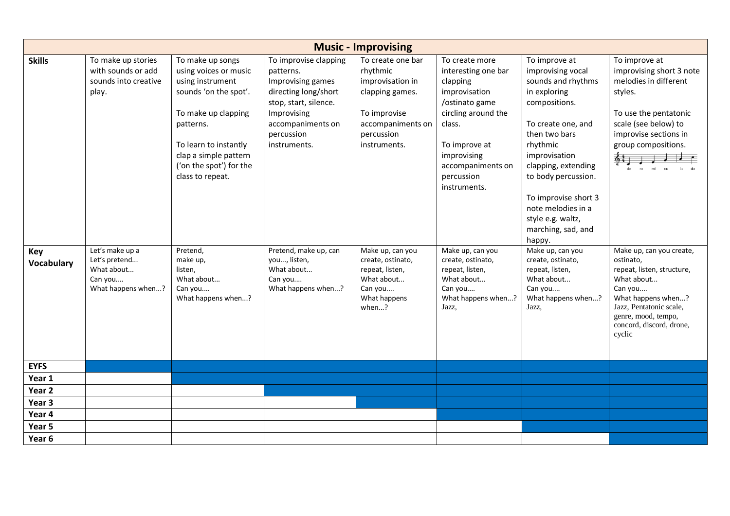|                                           | <b>Music - Improvising</b>                                                                                                                                   |                                                                                                                                                                                                                                                                                                               |                                                                                                                                                                                                                                                                    |                                                                                                                                                                                                                                                       |                                                                                                                                                                                                                                                                                                                              |                                                                                                                                                                                                                                                                                                                                                                                                                                    |                                                                                                                                                                                                                                                                                                                                                                                              |  |  |  |  |
|-------------------------------------------|--------------------------------------------------------------------------------------------------------------------------------------------------------------|---------------------------------------------------------------------------------------------------------------------------------------------------------------------------------------------------------------------------------------------------------------------------------------------------------------|--------------------------------------------------------------------------------------------------------------------------------------------------------------------------------------------------------------------------------------------------------------------|-------------------------------------------------------------------------------------------------------------------------------------------------------------------------------------------------------------------------------------------------------|------------------------------------------------------------------------------------------------------------------------------------------------------------------------------------------------------------------------------------------------------------------------------------------------------------------------------|------------------------------------------------------------------------------------------------------------------------------------------------------------------------------------------------------------------------------------------------------------------------------------------------------------------------------------------------------------------------------------------------------------------------------------|----------------------------------------------------------------------------------------------------------------------------------------------------------------------------------------------------------------------------------------------------------------------------------------------------------------------------------------------------------------------------------------------|--|--|--|--|
| <b>Skills</b><br>Key<br><b>Vocabulary</b> | To make up stories<br>with sounds or add<br>sounds into creative<br>play.<br>Let's make up a<br>Let's pretend<br>What about<br>Can you<br>What happens when? | To make up songs<br>using voices or music<br>using instrument<br>sounds 'on the spot'.<br>To make up clapping<br>patterns.<br>To learn to instantly<br>clap a simple pattern<br>('on the spot') for the<br>class to repeat.<br>Pretend,<br>make up,<br>listen,<br>What about<br>Can you<br>What happens when? | To improvise clapping<br>patterns.<br>Improvising games<br>directing long/short<br>stop, start, silence.<br>Improvising<br>accompaniments on<br>percussion<br>instruments.<br>Pretend, make up, can<br>you, listen,<br>What about<br>Can you<br>What happens when? | To create one bar<br>rhythmic<br>improvisation in<br>clapping games.<br>To improvise<br>accompaniments on<br>percussion<br>instruments.<br>Make up, can you<br>create, ostinato,<br>repeat, listen,<br>What about<br>Can you<br>What happens<br>when? | To create more<br>interesting one bar<br>clapping<br>improvisation<br>/ostinato game<br>circling around the<br>class.<br>To improve at<br>improvising<br>accompaniments on<br>percussion<br>instruments.<br>Make up, can you<br>create, ostinato,<br>repeat, listen,<br>What about<br>Can you<br>What happens when?<br>Jazz, | To improve at<br>improvising vocal<br>sounds and rhythms<br>in exploring<br>compositions.<br>To create one, and<br>then two bars<br>rhythmic<br>improvisation<br>clapping, extending<br>to body percussion.<br>To improvise short 3<br>note melodies in a<br>style e.g. waltz,<br>marching, sad, and<br>happy.<br>Make up, can you<br>create, ostinato,<br>repeat, listen,<br>What about<br>Can you<br>What happens when?<br>Jazz, | To improve at<br>improvising short 3 note<br>melodies in different<br>styles.<br>To use the pentatonic<br>scale (see below) to<br>improvise sections in<br>group compositions.<br>Make up, can you create,<br>ostinato,<br>repeat, listen, structure,<br>What about<br>Can you<br>What happens when?<br>Jazz, Pentatonic scale,<br>genre, mood, tempo,<br>concord, discord, drone,<br>cyclic |  |  |  |  |
|                                           |                                                                                                                                                              |                                                                                                                                                                                                                                                                                                               |                                                                                                                                                                                                                                                                    |                                                                                                                                                                                                                                                       |                                                                                                                                                                                                                                                                                                                              |                                                                                                                                                                                                                                                                                                                                                                                                                                    |                                                                                                                                                                                                                                                                                                                                                                                              |  |  |  |  |
| <b>EYFS</b>                               |                                                                                                                                                              |                                                                                                                                                                                                                                                                                                               |                                                                                                                                                                                                                                                                    |                                                                                                                                                                                                                                                       |                                                                                                                                                                                                                                                                                                                              |                                                                                                                                                                                                                                                                                                                                                                                                                                    |                                                                                                                                                                                                                                                                                                                                                                                              |  |  |  |  |
| Year 1                                    |                                                                                                                                                              |                                                                                                                                                                                                                                                                                                               |                                                                                                                                                                                                                                                                    |                                                                                                                                                                                                                                                       |                                                                                                                                                                                                                                                                                                                              |                                                                                                                                                                                                                                                                                                                                                                                                                                    |                                                                                                                                                                                                                                                                                                                                                                                              |  |  |  |  |
| Year <sub>2</sub>                         |                                                                                                                                                              |                                                                                                                                                                                                                                                                                                               |                                                                                                                                                                                                                                                                    |                                                                                                                                                                                                                                                       |                                                                                                                                                                                                                                                                                                                              |                                                                                                                                                                                                                                                                                                                                                                                                                                    |                                                                                                                                                                                                                                                                                                                                                                                              |  |  |  |  |
| Year 3                                    |                                                                                                                                                              |                                                                                                                                                                                                                                                                                                               |                                                                                                                                                                                                                                                                    |                                                                                                                                                                                                                                                       |                                                                                                                                                                                                                                                                                                                              |                                                                                                                                                                                                                                                                                                                                                                                                                                    |                                                                                                                                                                                                                                                                                                                                                                                              |  |  |  |  |
| Year 4                                    |                                                                                                                                                              |                                                                                                                                                                                                                                                                                                               |                                                                                                                                                                                                                                                                    |                                                                                                                                                                                                                                                       |                                                                                                                                                                                                                                                                                                                              |                                                                                                                                                                                                                                                                                                                                                                                                                                    |                                                                                                                                                                                                                                                                                                                                                                                              |  |  |  |  |
| Year 5                                    |                                                                                                                                                              |                                                                                                                                                                                                                                                                                                               |                                                                                                                                                                                                                                                                    |                                                                                                                                                                                                                                                       |                                                                                                                                                                                                                                                                                                                              |                                                                                                                                                                                                                                                                                                                                                                                                                                    |                                                                                                                                                                                                                                                                                                                                                                                              |  |  |  |  |
| Year 6                                    |                                                                                                                                                              |                                                                                                                                                                                                                                                                                                               |                                                                                                                                                                                                                                                                    |                                                                                                                                                                                                                                                       |                                                                                                                                                                                                                                                                                                                              |                                                                                                                                                                                                                                                                                                                                                                                                                                    |                                                                                                                                                                                                                                                                                                                                                                                              |  |  |  |  |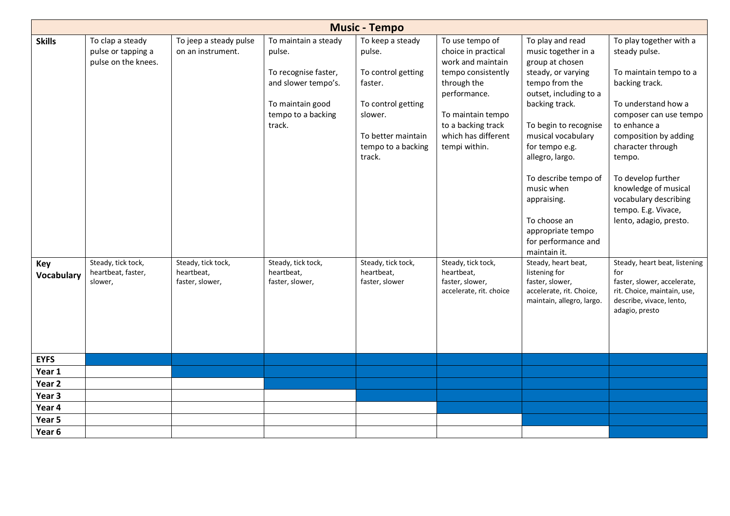|                          | <b>Music - Tempo</b>                                          |                                                     |                                                                                                                                   |                                                                                                                                                    |                                                                                                                                                                                                     |                                                                                                                                                                                                                                                                                                                                                                     |                                                                                                                                                                                                                                                                                                                                       |  |  |  |  |
|--------------------------|---------------------------------------------------------------|-----------------------------------------------------|-----------------------------------------------------------------------------------------------------------------------------------|----------------------------------------------------------------------------------------------------------------------------------------------------|-----------------------------------------------------------------------------------------------------------------------------------------------------------------------------------------------------|---------------------------------------------------------------------------------------------------------------------------------------------------------------------------------------------------------------------------------------------------------------------------------------------------------------------------------------------------------------------|---------------------------------------------------------------------------------------------------------------------------------------------------------------------------------------------------------------------------------------------------------------------------------------------------------------------------------------|--|--|--|--|
| <b>Skills</b>            | To clap a steady<br>pulse or tapping a<br>pulse on the knees. | To jeep a steady pulse<br>on an instrument.         | To maintain a steady<br>pulse.<br>To recognise faster,<br>and slower tempo's.<br>To maintain good<br>tempo to a backing<br>track. | To keep a steady<br>pulse.<br>To control getting<br>faster.<br>To control getting<br>slower.<br>To better maintain<br>tempo to a backing<br>track. | To use tempo of<br>choice in practical<br>work and maintain<br>tempo consistently<br>through the<br>performance.<br>To maintain tempo<br>to a backing track<br>which has different<br>tempi within. | To play and read<br>music together in a<br>group at chosen<br>steady, or varying<br>tempo from the<br>outset, including to a<br>backing track.<br>To begin to recognise<br>musical vocabulary<br>for tempo e.g.<br>allegro, largo.<br>To describe tempo of<br>music when<br>appraising.<br>To choose an<br>appropriate tempo<br>for performance and<br>maintain it. | To play together with a<br>steady pulse.<br>To maintain tempo to a<br>backing track.<br>To understand how a<br>composer can use tempo<br>to enhance a<br>composition by adding<br>character through<br>tempo.<br>To develop further<br>knowledge of musical<br>vocabulary describing<br>tempo. E.g. Vivace,<br>lento, adagio, presto. |  |  |  |  |
| Key<br><b>Vocabulary</b> | Steady, tick tock,<br>heartbeat, faster,<br>slower,           | Steady, tick tock,<br>heartbeat,<br>faster, slower, | Steady, tick tock,<br>heartbeat,<br>faster, slower,                                                                               | Steady, tick tock,<br>heartbeat,<br>faster, slower                                                                                                 | Steady, tick tock,<br>heartbeat,<br>faster, slower,<br>accelerate, rit. choice                                                                                                                      | Steady, heart beat,<br>listening for<br>faster, slower,<br>accelerate, rit. Choice,<br>maintain, allegro, largo.                                                                                                                                                                                                                                                    | Steady, heart beat, listening<br>for<br>faster, slower, accelerate,<br>rit. Choice, maintain, use,<br>describe, vivace, lento,<br>adagio, presto                                                                                                                                                                                      |  |  |  |  |
| <b>EYFS</b>              |                                                               |                                                     |                                                                                                                                   |                                                                                                                                                    |                                                                                                                                                                                                     |                                                                                                                                                                                                                                                                                                                                                                     |                                                                                                                                                                                                                                                                                                                                       |  |  |  |  |
| Year 1                   |                                                               |                                                     |                                                                                                                                   |                                                                                                                                                    |                                                                                                                                                                                                     |                                                                                                                                                                                                                                                                                                                                                                     |                                                                                                                                                                                                                                                                                                                                       |  |  |  |  |
| Year <sub>2</sub>        |                                                               |                                                     |                                                                                                                                   |                                                                                                                                                    |                                                                                                                                                                                                     |                                                                                                                                                                                                                                                                                                                                                                     |                                                                                                                                                                                                                                                                                                                                       |  |  |  |  |
| Year 3<br>Year 4         |                                                               |                                                     |                                                                                                                                   |                                                                                                                                                    |                                                                                                                                                                                                     |                                                                                                                                                                                                                                                                                                                                                                     |                                                                                                                                                                                                                                                                                                                                       |  |  |  |  |
| Year 5                   |                                                               |                                                     |                                                                                                                                   |                                                                                                                                                    |                                                                                                                                                                                                     |                                                                                                                                                                                                                                                                                                                                                                     |                                                                                                                                                                                                                                                                                                                                       |  |  |  |  |
| Year 6                   |                                                               |                                                     |                                                                                                                                   |                                                                                                                                                    |                                                                                                                                                                                                     |                                                                                                                                                                                                                                                                                                                                                                     |                                                                                                                                                                                                                                                                                                                                       |  |  |  |  |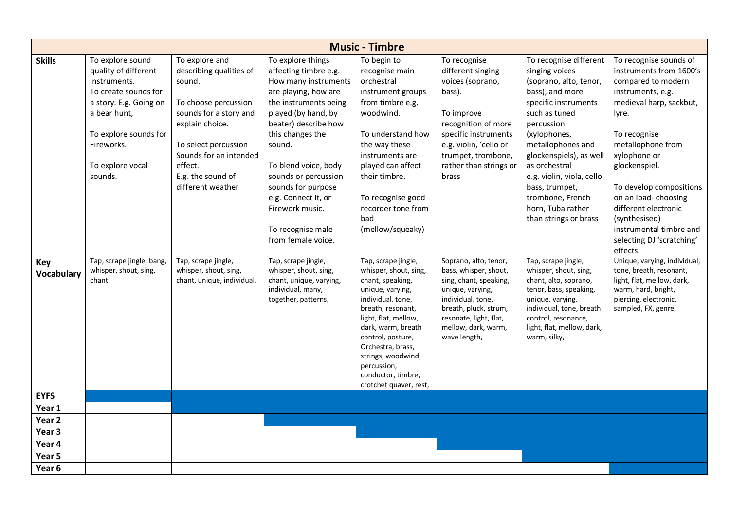|                          |                                                                                                                                                                                                  |                                                                                                                                                                                                                                 |                                                                                                                                                                                                                                                                                                                                                             | <b>Music - Timbre</b>                                                                                                                                                                                                                                                                                       |                                                                                                                                                                                                                 |                                                                                                                                                                                                                                                                                                                                                |                                                                                                                                                                                                                                                                                                                                                                        |
|--------------------------|--------------------------------------------------------------------------------------------------------------------------------------------------------------------------------------------------|---------------------------------------------------------------------------------------------------------------------------------------------------------------------------------------------------------------------------------|-------------------------------------------------------------------------------------------------------------------------------------------------------------------------------------------------------------------------------------------------------------------------------------------------------------------------------------------------------------|-------------------------------------------------------------------------------------------------------------------------------------------------------------------------------------------------------------------------------------------------------------------------------------------------------------|-----------------------------------------------------------------------------------------------------------------------------------------------------------------------------------------------------------------|------------------------------------------------------------------------------------------------------------------------------------------------------------------------------------------------------------------------------------------------------------------------------------------------------------------------------------------------|------------------------------------------------------------------------------------------------------------------------------------------------------------------------------------------------------------------------------------------------------------------------------------------------------------------------------------------------------------------------|
| <b>Skills</b>            | To explore sound<br>quality of different<br>instruments.<br>To create sounds for<br>a story. E.g. Going on<br>a bear hunt,<br>To explore sounds for<br>Fireworks.<br>To explore vocal<br>sounds. | To explore and<br>describing qualities of<br>sound.<br>To choose percussion<br>sounds for a story and<br>explain choice.<br>To select percussion<br>Sounds for an intended<br>effect.<br>E.g. the sound of<br>different weather | To explore things<br>affecting timbre e.g.<br>How many instruments<br>are playing, how are<br>the instruments being<br>played (by hand, by<br>beater) describe how<br>this changes the<br>sound.<br>To blend voice, body<br>sounds or percussion<br>sounds for purpose<br>e.g. Connect it, or<br>Firework music.<br>To recognise male<br>from female voice. | To begin to<br>recognise main<br>orchestral<br>instrument groups<br>from timbre e.g.<br>woodwind.<br>To understand how<br>the way these<br>instruments are<br>played can affect<br>their timbre.<br>To recognise good<br>recorder tone from<br>bad<br>(mellow/squeaky)                                      | To recognise<br>different singing<br>voices (soprano,<br>bass).<br>To improve<br>recognition of more<br>specific instruments<br>e.g. violin, 'cello or<br>trumpet, trombone,<br>rather than strings or<br>brass | To recognise different<br>singing voices<br>(soprano, alto, tenor,<br>bass), and more<br>specific instruments<br>such as tuned<br>percussion<br>(xylophones,<br>metallophones and<br>glockenspiels), as well<br>as orchestral<br>e.g. violin, viola, cello<br>bass, trumpet,<br>trombone, French<br>horn, Tuba rather<br>than strings or brass | To recognise sounds of<br>instruments from 1600's<br>compared to modern<br>instruments, e.g.<br>medieval harp, sackbut,<br>lyre.<br>To recognise<br>metallophone from<br>xylophone or<br>glockenspiel.<br>To develop compositions<br>on an Ipad- choosing<br>different electronic<br>(synthesised)<br>instrumental timbre and<br>selecting DJ 'scratching'<br>effects. |
| Key<br><b>Vocabulary</b> | Tap, scrape jingle, bang,<br>whisper, shout, sing,<br>chant.                                                                                                                                     | Tap, scrape jingle,<br>whisper, shout, sing,<br>chant, unique, individual.                                                                                                                                                      | Tap, scrape jingle,<br>whisper, shout, sing,<br>chant, unique, varying,<br>individual, many,<br>together, patterns,                                                                                                                                                                                                                                         | Tap, scrape jingle,<br>whisper, shout, sing,<br>chant, speaking,<br>unique, varying,<br>individual, tone,<br>breath, resonant,<br>light, flat, mellow,<br>dark, warm, breath<br>control, posture,<br>Orchestra, brass,<br>strings, woodwind,<br>percussion,<br>conductor, timbre,<br>crotchet quaver, rest, | Soprano, alto, tenor,<br>bass, whisper, shout,<br>sing, chant, speaking,<br>unique, varying,<br>individual, tone,<br>breath, pluck, strum,<br>resonate, light, flat,<br>mellow, dark, warm,<br>wave length,     | Tap, scrape jingle,<br>whisper, shout, sing,<br>chant, alto, soprano,<br>tenor, bass, speaking,<br>unique, varying,<br>individual, tone, breath<br>control, resonance,<br>light, flat, mellow, dark,<br>warm, silky,                                                                                                                           | Unique, varying, individual,<br>tone, breath, resonant,<br>light, flat, mellow, dark,<br>warm, hard, bright,<br>piercing, electronic,<br>sampled, FX, genre,                                                                                                                                                                                                           |
| <b>EYFS</b>              |                                                                                                                                                                                                  |                                                                                                                                                                                                                                 |                                                                                                                                                                                                                                                                                                                                                             |                                                                                                                                                                                                                                                                                                             |                                                                                                                                                                                                                 |                                                                                                                                                                                                                                                                                                                                                |                                                                                                                                                                                                                                                                                                                                                                        |
| Year 1                   |                                                                                                                                                                                                  |                                                                                                                                                                                                                                 |                                                                                                                                                                                                                                                                                                                                                             |                                                                                                                                                                                                                                                                                                             |                                                                                                                                                                                                                 |                                                                                                                                                                                                                                                                                                                                                |                                                                                                                                                                                                                                                                                                                                                                        |
| Year <sub>2</sub>        |                                                                                                                                                                                                  |                                                                                                                                                                                                                                 |                                                                                                                                                                                                                                                                                                                                                             |                                                                                                                                                                                                                                                                                                             |                                                                                                                                                                                                                 |                                                                                                                                                                                                                                                                                                                                                |                                                                                                                                                                                                                                                                                                                                                                        |
| Year 3                   |                                                                                                                                                                                                  |                                                                                                                                                                                                                                 |                                                                                                                                                                                                                                                                                                                                                             |                                                                                                                                                                                                                                                                                                             |                                                                                                                                                                                                                 |                                                                                                                                                                                                                                                                                                                                                |                                                                                                                                                                                                                                                                                                                                                                        |
| Year 4                   |                                                                                                                                                                                                  |                                                                                                                                                                                                                                 |                                                                                                                                                                                                                                                                                                                                                             |                                                                                                                                                                                                                                                                                                             |                                                                                                                                                                                                                 |                                                                                                                                                                                                                                                                                                                                                |                                                                                                                                                                                                                                                                                                                                                                        |
| Year 5                   |                                                                                                                                                                                                  |                                                                                                                                                                                                                                 |                                                                                                                                                                                                                                                                                                                                                             |                                                                                                                                                                                                                                                                                                             |                                                                                                                                                                                                                 |                                                                                                                                                                                                                                                                                                                                                |                                                                                                                                                                                                                                                                                                                                                                        |
| Year 6                   |                                                                                                                                                                                                  |                                                                                                                                                                                                                                 |                                                                                                                                                                                                                                                                                                                                                             |                                                                                                                                                                                                                                                                                                             |                                                                                                                                                                                                                 |                                                                                                                                                                                                                                                                                                                                                |                                                                                                                                                                                                                                                                                                                                                                        |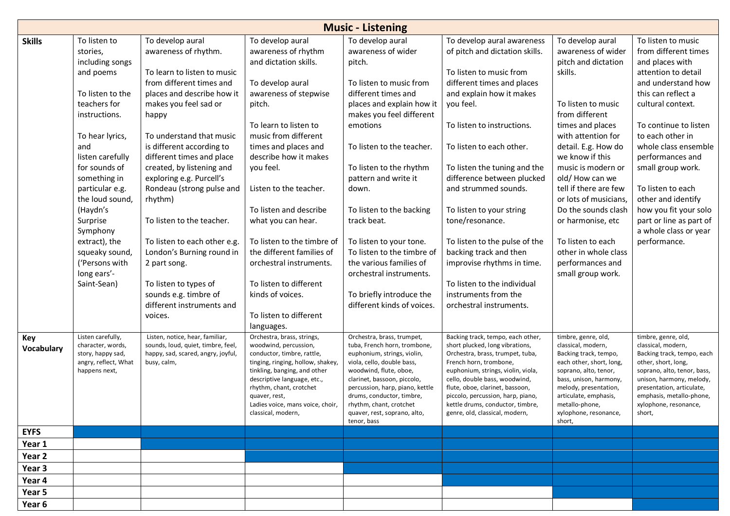|                   |                                                             |                                                                                                             |                                                                                   | <b>Music - Listening</b>                                                                  |                                                                                                          |                                                                    |                                                                         |
|-------------------|-------------------------------------------------------------|-------------------------------------------------------------------------------------------------------------|-----------------------------------------------------------------------------------|-------------------------------------------------------------------------------------------|----------------------------------------------------------------------------------------------------------|--------------------------------------------------------------------|-------------------------------------------------------------------------|
| <b>Skills</b>     | To listen to                                                | To develop aural                                                                                            | To develop aural                                                                  | To develop aural                                                                          | To develop aural awareness                                                                               | To develop aural                                                   | To listen to music                                                      |
|                   | stories,                                                    | awareness of rhythm.                                                                                        | awareness of rhythm                                                               | awareness of wider                                                                        | of pitch and dictation skills.                                                                           | awareness of wider                                                 | from different times                                                    |
|                   | including songs                                             |                                                                                                             | and dictation skills.                                                             | pitch.                                                                                    |                                                                                                          | pitch and dictation                                                | and places with                                                         |
|                   | and poems                                                   | To learn to listen to music                                                                                 |                                                                                   |                                                                                           | To listen to music from                                                                                  | skills.                                                            | attention to detail                                                     |
|                   |                                                             | from different times and                                                                                    | To develop aural                                                                  | To listen to music from                                                                   | different times and places                                                                               |                                                                    | and understand how                                                      |
|                   | To listen to the                                            | places and describe how it                                                                                  | awareness of stepwise                                                             | different times and                                                                       | and explain how it makes                                                                                 |                                                                    | this can reflect a                                                      |
|                   | teachers for<br>instructions.                               | makes you feel sad or<br>happy                                                                              | pitch.                                                                            | places and explain how it<br>makes you feel different                                     | you feel.                                                                                                | To listen to music<br>from different                               | cultural context.                                                       |
|                   | To hear lyrics,                                             | To understand that music                                                                                    | To learn to listen to<br>music from different                                     | emotions                                                                                  | To listen to instructions.                                                                               | times and places<br>with attention for                             | To continue to listen<br>to each other in                               |
|                   | and                                                         | is different according to                                                                                   | times and places and                                                              | To listen to the teacher.                                                                 | To listen to each other.                                                                                 | detail. E.g. How do                                                | whole class ensemble                                                    |
|                   | listen carefully                                            | different times and place                                                                                   | describe how it makes                                                             |                                                                                           |                                                                                                          | we know if this                                                    | performances and                                                        |
|                   | for sounds of<br>something in                               | created, by listening and<br>exploring e.g. Purcell's                                                       | you feel.                                                                         | To listen to the rhythm<br>pattern and write it                                           | To listen the tuning and the<br>difference between plucked                                               | music is modern or<br>old/How can we                               | small group work.                                                       |
|                   | particular e.g.<br>the loud sound,                          | Rondeau (strong pulse and                                                                                   | Listen to the teacher.                                                            | down.                                                                                     | and strummed sounds.                                                                                     | tell if there are few<br>or lots of musicians,                     | To listen to each<br>other and identify                                 |
|                   | (Haydn's                                                    | rhythm)                                                                                                     | To listen and describe                                                            | To listen to the backing                                                                  | To listen to your string                                                                                 | Do the sounds clash                                                | how you fit your solo                                                   |
|                   | Surprise                                                    | To listen to the teacher.                                                                                   | what you can hear.                                                                | track beat.                                                                               | tone/resonance.                                                                                          | or harmonise, etc                                                  | part or line as part of                                                 |
|                   | Symphony                                                    |                                                                                                             |                                                                                   |                                                                                           |                                                                                                          |                                                                    | a whole class or year                                                   |
|                   | extract), the                                               | To listen to each other e.g.                                                                                | To listen to the timbre of                                                        | To listen to your tone.                                                                   | To listen to the pulse of the                                                                            | To listen to each                                                  | performance.                                                            |
|                   | squeaky sound,                                              | London's Burning round in                                                                                   | the different families of                                                         | To listen to the timbre of                                                                | backing track and then                                                                                   | other in whole class                                               |                                                                         |
|                   | ('Persons with                                              | 2 part song.                                                                                                | orchestral instruments.                                                           | the various families of                                                                   | improvise rhythms in time.                                                                               | performances and                                                   |                                                                         |
|                   | long ears'-                                                 |                                                                                                             |                                                                                   | orchestral instruments.                                                                   |                                                                                                          | small group work.                                                  |                                                                         |
|                   | Saint-Sean)                                                 | To listen to types of                                                                                       | To listen to different                                                            |                                                                                           | To listen to the individual                                                                              |                                                                    |                                                                         |
|                   |                                                             | sounds e.g. timbre of                                                                                       | kinds of voices.                                                                  | To briefly introduce the                                                                  | instruments from the                                                                                     |                                                                    |                                                                         |
|                   |                                                             | different instruments and                                                                                   |                                                                                   | different kinds of voices.                                                                | orchestral instruments.                                                                                  |                                                                    |                                                                         |
|                   |                                                             | voices.                                                                                                     | To listen to different<br>languages.                                              |                                                                                           |                                                                                                          |                                                                    |                                                                         |
| Key<br>Vocabulary | Listen carefully,<br>character, words,<br>story, happy sad, | Listen, notice, hear, familiar,<br>sounds, loud, quiet, timbre, feel,<br>happy, sad, scared, angry, joyful, | Orchestra, brass, strings,<br>woodwind, percussion,<br>conductor, timbre, rattle, | Orchestra, brass, trumpet,<br>tuba, French horn, trombone,<br>euphonium, strings, violin, | Backing track, tempo, each other,<br>short plucked, long vibrations,<br>Orchestra, brass, trumpet, tuba, | timbre, genre, old,<br>classical, modern,<br>Backing track, tempo, | timbre, genre, old,<br>classical, modern,<br>Backing track, tempo, each |
|                   | angry, reflect, What                                        | busy, calm,                                                                                                 | tinging, ringing, hollow, shakey,                                                 | viola, cello, double bass,                                                                | French horn, trombone,                                                                                   | each other, short, long,                                           | other, short, long,                                                     |
|                   | happens next,                                               |                                                                                                             | tinkling, banging, and other                                                      | woodwind, flute, oboe,                                                                    | euphonium, strings, violin, viola,                                                                       | soprano, alto, tenor,                                              | soprano, alto, tenor, bass,                                             |
|                   |                                                             |                                                                                                             | descriptive language, etc.,<br>rhythm, chant, crotchet                            | clarinet, bassoon, piccolo,<br>percussion, harp, piano, kettle                            | cello, double bass, woodwind,<br>flute, oboe, clarinet, bassoon,                                         | bass, unison, harmony,<br>melody, presentation,                    | unison, harmony, melody,<br>presentation, articulate,                   |
|                   |                                                             |                                                                                                             | quaver, rest,                                                                     | drums, conductor, timbre,                                                                 | piccolo, percussion, harp, piano,                                                                        | articulate, emphasis,                                              | emphasis, metallo-phone,                                                |
|                   |                                                             |                                                                                                             | Ladies voice, mans voice, choir,                                                  | rhythm, chant, crotchet                                                                   | kettle drums, conductor, timbre,                                                                         | metallo-phone,                                                     | xylophone, resonance,                                                   |
|                   |                                                             |                                                                                                             | classical, modern,                                                                | quaver, rest, soprano, alto,<br>tenor, bass                                               | genre, old, classical, modern,                                                                           | xylophone, resonance,<br>short,                                    | short,                                                                  |
| <b>EYFS</b>       |                                                             |                                                                                                             |                                                                                   |                                                                                           |                                                                                                          |                                                                    |                                                                         |
| Year 1            |                                                             |                                                                                                             |                                                                                   |                                                                                           |                                                                                                          |                                                                    |                                                                         |
| Year 2            |                                                             |                                                                                                             |                                                                                   |                                                                                           |                                                                                                          |                                                                    |                                                                         |
| Year <sub>3</sub> |                                                             |                                                                                                             |                                                                                   |                                                                                           |                                                                                                          |                                                                    |                                                                         |
| Year 4            |                                                             |                                                                                                             |                                                                                   |                                                                                           |                                                                                                          |                                                                    |                                                                         |
| Year 5            |                                                             |                                                                                                             |                                                                                   |                                                                                           |                                                                                                          |                                                                    |                                                                         |
| Year 6            |                                                             |                                                                                                             |                                                                                   |                                                                                           |                                                                                                          |                                                                    |                                                                         |